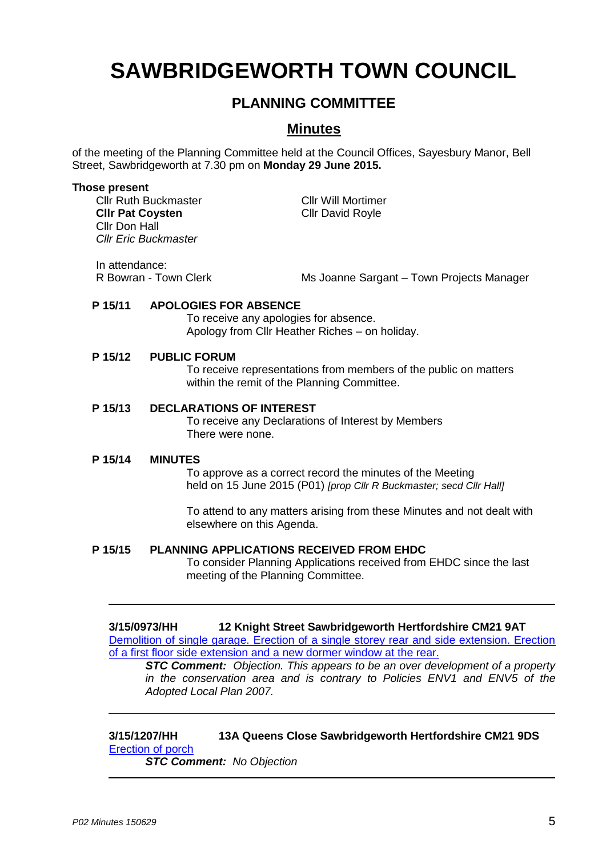# **SAWBRIDGEWORTH TOWN COUNCIL**

# **PLANNING COMMITTEE**

# **Minutes**

of the meeting of the Planning Committee held at the Council Offices, Sayesbury Manor, Bell Street, Sawbridgeworth at 7.30 pm on **Monday 29 June 2015.**

#### **Those present**

Cllr Ruth Buckmaster Cllr Will Mortimer **Cllr Pat Coysten** Cllr David Royle Cllr Don Hall *Cllr Eric Buckmaster*

In attendance:

R Bowran - Town Clerk Museum Ms Joanne Sargant – Town Projects Manager

#### **P 15/11 APOLOGIES FOR ABSENCE**

To receive any apologies for absence. Apology from Cllr Heather Riches – on holiday.

#### **P 15/12 PUBLIC FORUM**

To receive representations from members of the public on matters within the remit of the Planning Committee.

#### **P 15/13 DECLARATIONS OF INTEREST**

To receive any Declarations of Interest by Members There were none.

#### **P 15/14 MINUTES**

To approve as a correct record the minutes of the Meeting held on 15 June 2015 (P01) *[prop Cllr R Buckmaster; secd Cllr Hall]*

To attend to any matters arising from these Minutes and not dealt with elsewhere on this Agenda.

### **P 15/15 PLANNING APPLICATIONS RECEIVED FROM EHDC**

To consider Planning Applications received from EHDC since the last meeting of the Planning Committee.

#### **3/15/0973/HH 12 Knight Street Sawbridgeworth Hertfordshire CM21 9AT**

[Demolition of single garage. Erection of a single storey rear and side extension. Erection](https://publicaccess.eastherts.gov.uk/online-applications/applicationDetails.do?activeTab=summary&keyVal=NO6KBEGL00X00&prevPage=inTray)  [of a first floor side extension and a new dormer window at the rear.](https://publicaccess.eastherts.gov.uk/online-applications/applicationDetails.do?activeTab=summary&keyVal=NO6KBEGL00X00&prevPage=inTray) 

*STC Comment: Objection. This appears to be an over development of a property in the conservation area and is contrary to Policies ENV1 and ENV5 of the Adopted Local Plan 2007.*

**3/15/1207/HH 13A Queens Close Sawbridgeworth Hertfordshire CM21 9DS** [Erection of porch](https://publicaccess.eastherts.gov.uk/online-applications/applicationDetails.do?activeTab=summary&keyVal=NPMH9ZGLGC500&prevPage=inTray) 

*STC Comment: No Objection*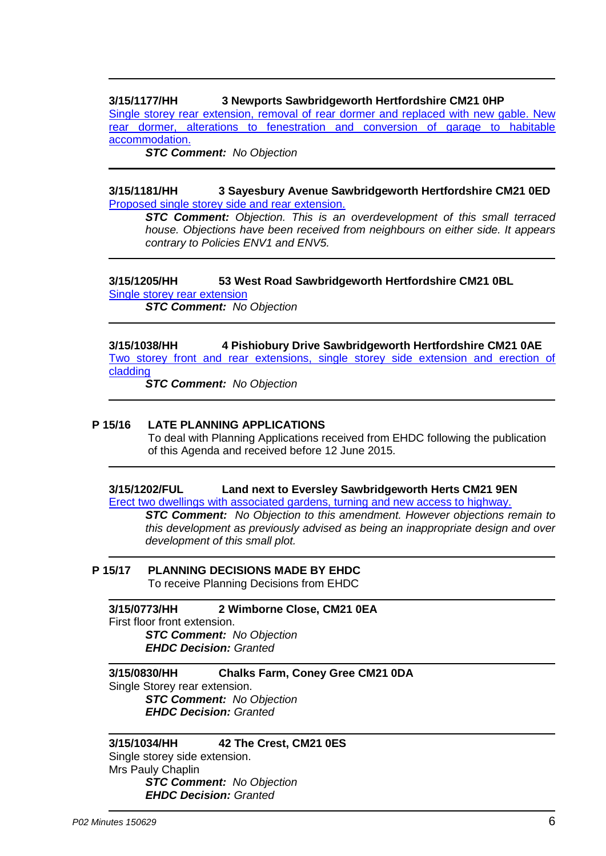# **3/15/1177/HH 3 Newports Sawbridgeworth Hertfordshire CM21 0HP**

[Single storey rear extension, removal of rear dormer and replaced with new gable. New](https://publicaccess.eastherts.gov.uk/online-applications/applicationDetails.do?activeTab=summary&keyVal=NPDJ34GLGB900&prevPage=inTray)  [rear dormer, alterations to fenestration and conversion of garage to habitable](https://publicaccess.eastherts.gov.uk/online-applications/applicationDetails.do?activeTab=summary&keyVal=NPDJ34GLGB900&prevPage=inTray)  [accommodation.](https://publicaccess.eastherts.gov.uk/online-applications/applicationDetails.do?activeTab=summary&keyVal=NPDJ34GLGB900&prevPage=inTray) 

*STC Comment: No Objection*

### **3/15/1181/HH 3 Sayesbury Avenue Sawbridgeworth Hertfordshire CM21 0ED**  [Proposed single storey side and rear extension.](https://publicaccess.eastherts.gov.uk/online-applications/applicationDetails.do?activeTab=summary&keyVal=NPERH7GLGBD00&prevPage=inTray)

*STC Comment: Objection. This is an overdevelopment of this small terraced house. Objections have been received from neighbours on either side. It appears contrary to Policies ENV1 and ENV5.*

# **3/15/1205/HH 53 West Road Sawbridgeworth Hertfordshire CM21 0BL**  [Single storey rear extension](https://publicaccess.eastherts.gov.uk/online-applications/applicationDetails.do?activeTab=summary&keyVal=NPME0VGL00X00&prevPage=inTray)

*STC Comment: No Objection*

# **3/15/1038/HH 4 Pishiobury Drive Sawbridgeworth Hertfordshire CM21 0AE**  [Two storey front and rear extensions, single storey side extension and erection of](https://publicaccess.eastherts.gov.uk/online-applications/applicationDetails.do?activeTab=summary&keyVal=NOL4SUGLG6H00&prevPage=inTray)  [cladding](https://publicaccess.eastherts.gov.uk/online-applications/applicationDetails.do?activeTab=summary&keyVal=NOL4SUGLG6H00&prevPage=inTray)

*STC Comment: No Objection*

# **P 15/16 LATE PLANNING APPLICATIONS**

To deal with Planning Applications received from EHDC following the publication of this Agenda and received before 12 June 2015.

### **3/15/1202/FUL Land next to Eversley Sawbridgeworth Herts CM21 9EN**

Erect two dwellings with associated gardens, turning and new access to highway.

*STC Comment: No Objection to this amendment. However objections remain to this development as previously advised as being an inappropriate design and over development of this small plot.*

#### **P 15/17 PLANNING DECISIONS MADE BY EHDC** To receive Planning Decisions from EHDC

**3/15/0773/HH 2 Wimborne Close, CM21 0EA** First floor front extension. *STC Comment: No Objection EHDC Decision: Granted*

**3/15/0830/HH Chalks Farm, Coney Gree CM21 0DA** Single Storey rear extension. *STC Comment: No Objection EHDC Decision: Granted*

### **3/15/1034/HH 42 The Crest, CM21 0ES**

Single storey side extension. Mrs Pauly Chaplin *STC Comment: No Objection EHDC Decision: Granted*